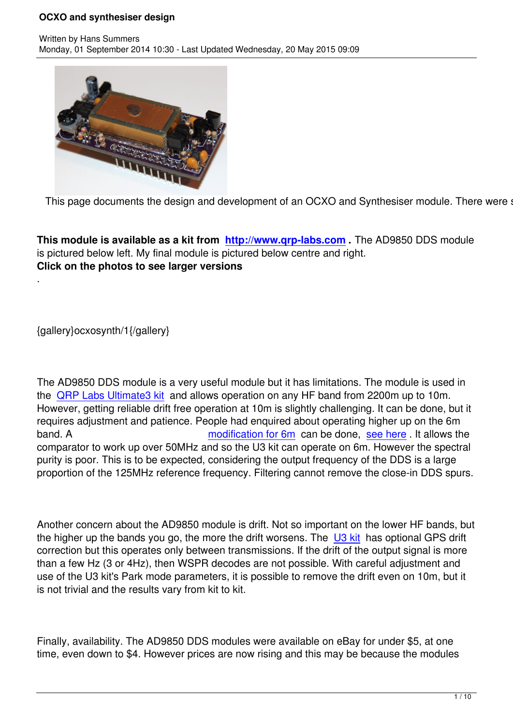

This page documents the design and development of an OCXO and Synthesiser module. There were sev

**This module is available as a kit from http://www.qrp-labs.com .** The AD9850 DDS module is pictured below left. My final module is pictured below centre and right. **Click on the photos to see larger versions**

{gallery}ocxosynth/1{/gallery}

.

The AD9850 DDS module is a very useful module but it has limitations. The module is used in the QRP Labs Ultimate3 kit and allows operation on any HF band from 2200m up to 10m. However, getting reliable drift free operation at 10m is slightly challenging. It can be done, but it requires adjustment and patience. People had enquired about operating higher up on the 6m ban[d. A](ultimate3) modification for 6m can be done, see here . It allows the comparator to work up over 50MHz and so the U3 kit can operate on 6m. However the spectral purity is poor. This is to be expected, considering the output frequency of the DDS is a large proportion of the 125MHz reference f[requency. Filtering c](ultimate3/u3mods/u3mod6m.html)annot remove [the close-](ultimate3/u3mods/u3mod6m.html)in DDS spurs.

Another concern about the AD9850 module is drift. Not so important on the lower HF bands, but the higher up the bands you go, the more the drift worsens. The U3 kit has optional GPS drift correction but this operates only between transmissions. If the drift of the output signal is more than a few Hz (3 or 4Hz), then WSPR decodes are not possible. With careful adjustment and use of the U3 kit's Park mode parameters, it is possible to remov[e the d](ultimate3)rift even on 10m, but it is not trivial and the results vary from kit to kit.

Finally, availability. The AD9850 DDS modules were available on eBay for under \$5, at one time, even down to \$4. However prices are now rising and this may be because the modules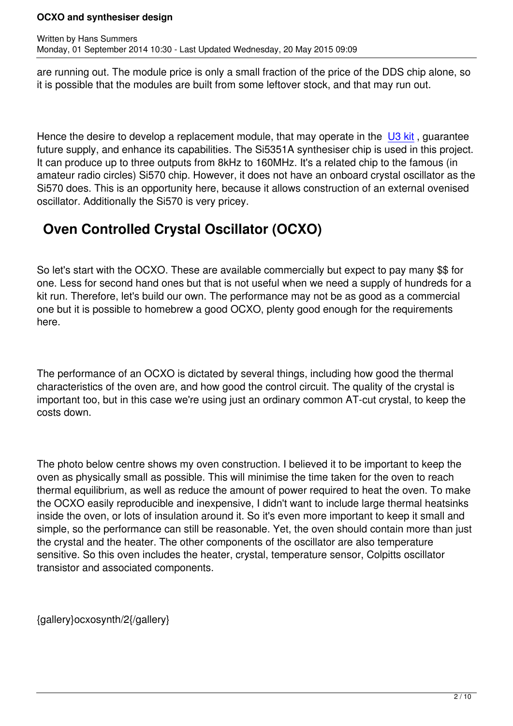Written by Hans Summers Summers Summers Summers Summers Summers Summers Summers Summers Summers Summers Summer

are running out. The module price is only a small fraction of the price of the DDS chip alone, so it is possible that the modules are built from some leftover stock, and that may run out.

Hence the desire to develop a replacement module, that may operate in the  $\overline{U3}$  kit, guarantee future supply, and enhance its capabilities. The Si5351A synthesiser chip is used in this project. It can produce up to three outputs from 8kHz to 160MHz. It's a related chip to the famous (in amateur radio circles) Si570 chip. However, it does not have an onboard cry[stal osc](ultimate3)illator as the Si570 does. This is an opportunity here, because it allows construction of an external ovenised oscillator. Additionally the Si570 is very pricey.

# **Oven Controlled Crystal Oscillator (OCXO)**

So let's start with the OCXO. These are available commercially but expect to pay many \$\$ for one. Less for second hand ones but that is not useful when we need a supply of hundreds for a kit run. Therefore, let's build our own. The performance may not be as good as a commercial one but it is possible to homebrew a good OCXO, plenty good enough for the requirements here.

The performance of an OCXO is dictated by several things, including how good the thermal characteristics of the oven are, and how good the control circuit. The quality of the crystal is important too, but in this case we're using just an ordinary common AT-cut crystal, to keep the costs down.

The photo below centre shows my oven construction. I believed it to be important to keep the oven as physically small as possible. This will minimise the time taken for the oven to reach thermal equilibrium, as well as reduce the amount of power required to heat the oven. To make the OCXO easily reproducible and inexpensive, I didn't want to include large thermal heatsinks inside the oven, or lots of insulation around it. So it's even more important to keep it small and simple, so the performance can still be reasonable. Yet, the oven should contain more than just the crystal and the heater. The other components of the oscillator are also temperature sensitive. So this oven includes the heater, crystal, temperature sensor, Colpitts oscillator transistor and associated components.

{gallery}ocxosynth/2{/gallery}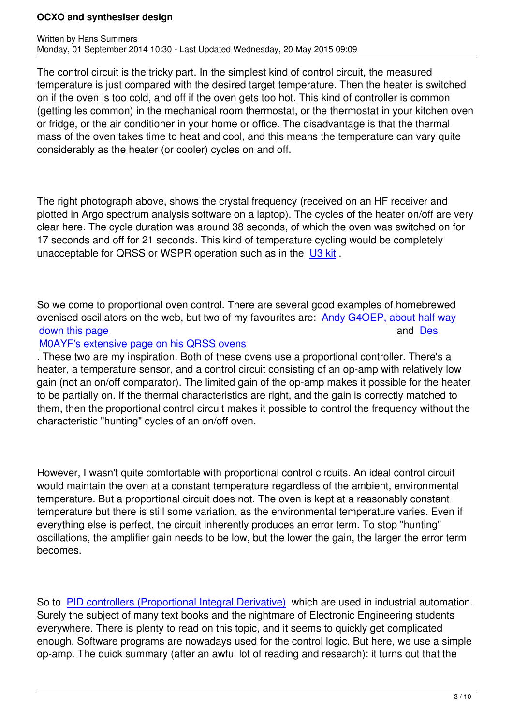The control circuit is the tricky part. In the simplest kind of control circuit, the measured temperature is just compared with the desired target temperature. Then the heater is switched on if the oven is too cold, and off if the oven gets too hot. This kind of controller is common (getting les common) in the mechanical room thermostat, or the thermostat in your kitchen oven or fridge, or the air conditioner in your home or office. The disadvantage is that the thermal mass of the oven takes time to heat and cool, and this means the temperature can vary quite considerably as the heater (or cooler) cycles on and off.

The right photograph above, shows the crystal frequency (received on an HF receiver and plotted in Argo spectrum analysis software on a laptop). The cycles of the heater on/off are very clear here. The cycle duration was around 38 seconds, of which the oven was switched on for 17 seconds and off for 21 seconds. This kind of temperature cycling would be completely unacceptable for QRSS or WSPR operation such as in the U3 kit.

So we come to proportional oven control. There are several [good](ultimate3) examples of homebrewed ovenised oscillators on the web, but two of my favourites are: Andy G4OEP, about half way down this page and Design and Design and Design and Design and Design and Design and Design and Design and Design and Design and Design and Design and Design and Design and Design and Design and Design and Design and Desig

#### M0AYF's extensive page on his QRSS ovens

. These two are my inspiration. Both of these ovens use a pro[portional controller. There](http://g4oep.atspace.com/qrss/qrss.htm)'[s a](http://g4oep.atspace.com/qrss/qrss.htm) [heater, a tempe](http://g4oep.atspace.com/qrss/qrss.htm)rature sensor, and a control circuit consisting of an op-amp with rela[tivel](http://www.qsl.net/m0ayf/Crystal-Ovens.html)y low [gain \(not an on/off comparator\). The limited ga](http://www.qsl.net/m0ayf/Crystal-Ovens.html)in of the op-amp makes it possible for the heater to be partially on. If the thermal characteristics are right, and the gain is correctly matched to them, then the proportional control circuit makes it possible to control the frequency without the characteristic "hunting" cycles of an on/off oven.

However, I wasn't quite comfortable with proportional control circuits. An ideal control circuit would maintain the oven at a constant temperature regardless of the ambient, environmental temperature. But a proportional circuit does not. The oven is kept at a reasonably constant temperature but there is still some variation, as the environmental temperature varies. Even if everything else is perfect, the circuit inherently produces an error term. To stop "hunting" oscillations, the amplifier gain needs to be low, but the lower the gain, the larger the error term becomes.

So to PID controllers (Proportional Integral Derivative) which are used in industrial automation. Surely the subject of many text books and the nightmare of Electronic Engineering students everywhere. There is plenty to read on this topic, and it seems to quickly get complicated enoug[h. Software programs are nowadays used for the](http://en.wikipedia.org/wiki/PID_controller) control logic. But here, we use a simple op-amp. The quick summary (after an awful lot of reading and research): it turns out that the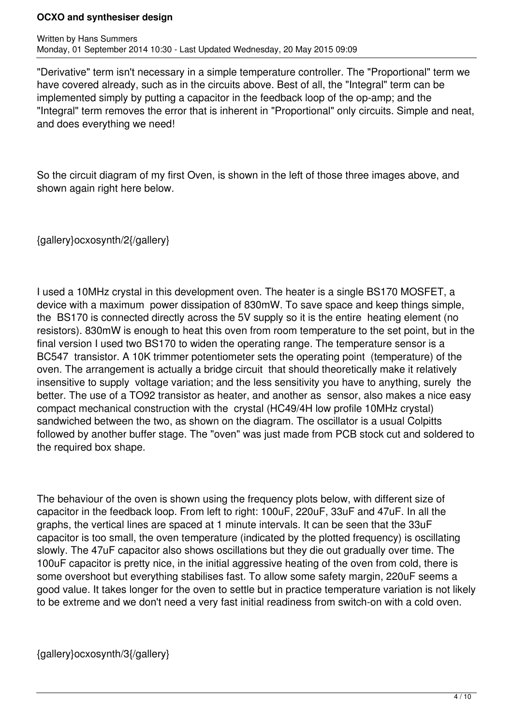#### **OCXO and synthesiser design**

"Derivative" term isn't necessary in a simple temperature controller. The "Proportional" term we have covered already, such as in the circuits above. Best of all, the "Integral" term can be implemented simply by putting a capacitor in the feedback loop of the op-amp; and the "Integral" term removes the error that is inherent in "Proportional" only circuits. Simple and neat, and does everything we need!

So the circuit diagram of my first Oven, is shown in the left of those three images above, and shown again right here below.

{gallery}ocxosynth/2{/gallery}

I used a 10MHz crystal in this development oven. The heater is a single BS170 MOSFET, a device with a maximum power dissipation of 830mW. To save space and keep things simple, the BS170 is connected directly across the 5V supply so it is the entire heating element (no resistors). 830mW is enough to heat this oven from room temperature to the set point, but in the final version I used two BS170 to widen the operating range. The temperature sensor is a BC547 transistor. A 10K trimmer potentiometer sets the operating point (temperature) of the oven. The arrangement is actually a bridge circuit that should theoretically make it relatively insensitive to supply voltage variation; and the less sensitivity you have to anything, surely the better. The use of a TO92 transistor as heater, and another as sensor, also makes a nice easy compact mechanical construction with the crystal (HC49/4H low profile 10MHz crystal) sandwiched between the two, as shown on the diagram. The oscillator is a usual Colpitts followed by another buffer stage. The "oven" was just made from PCB stock cut and soldered to the required box shape.

The behaviour of the oven is shown using the frequency plots below, with different size of capacitor in the feedback loop. From left to right: 100uF, 220uF, 33uF and 47uF. In all the graphs, the vertical lines are spaced at 1 minute intervals. It can be seen that the 33uF capacitor is too small, the oven temperature (indicated by the plotted frequency) is oscillating slowly. The 47uF capacitor also shows oscillations but they die out gradually over time. The 100uF capacitor is pretty nice, in the initial aggressive heating of the oven from cold, there is some overshoot but everything stabilises fast. To allow some safety margin, 220uF seems a good value. It takes longer for the oven to settle but in practice temperature variation is not likely to be extreme and we don't need a very fast initial readiness from switch-on with a cold oven.

{gallery}ocxosynth/3{/gallery}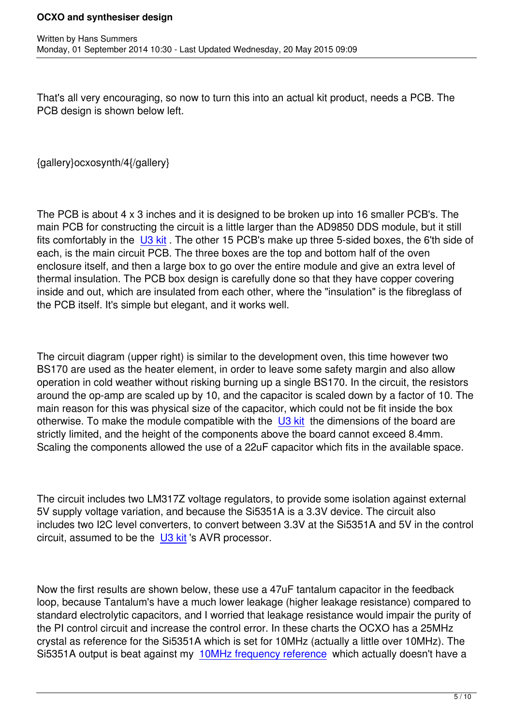That's all very encouraging, so now to turn this into an actual kit product, needs a PCB. The PCB design is shown below left.

{gallery}ocxosynth/4{/gallery}

Written by Hans Summers Summers Summers Summers Summers Summers Summers Summers Summers Summers Summers Summer

The PCB is about 4 x 3 inches and it is designed to be broken up into 16 smaller PCB's. The main PCB for constructing the circuit is a little larger than the AD9850 DDS module, but it still fits comfortably in the U3 kit. The other 15 PCB's make up three 5-sided boxes, the 6'th side of each, is the main circuit PCB. The three boxes are the top and bottom half of the oven enclosure itself, and then a large box to go over the entire module and give an extra level of thermal insulation. Th[e PCB](ultimate3) box design is carefully done so that they have copper covering inside and out, which are insulated from each other, where the "insulation" is the fibreglass of the PCB itself. It's simple but elegant, and it works well.

The circuit diagram (upper right) is similar to the development oven, this time however two BS170 are used as the heater element, in order to leave some safety margin and also allow operation in cold weather without risking burning up a single BS170. In the circuit, the resistors around the op-amp are scaled up by 10, and the capacitor is scaled down by a factor of 10. The main reason for this was physical size of the capacitor, which could not be fit inside the box otherwise. To make the module compatible with the  $\bigcup$ 3 kit the dimensions of the board are strictly limited, and the height of the components above the board cannot exceed 8.4mm. Scaling the components allowed the use of a 22uF capacitor which fits in the available space.

The circuit includes two LM317Z voltage regulators, to provide some isolation against external 5V supply voltage variation, and because the Si5351A is a 3.3V device. The circuit also includes two I2C level converters, to convert between 3.3V at the Si5351A and 5V in the control circuit, assumed to be the U3 kit 's AVR processor.

Now the first results are sh[own be](ultimate3)low, these use a 47uF tantalum capacitor in the feedback loop, because Tantalum's have a much lower leakage (higher leakage resistance) compared to standard electrolytic capacitors, and I worried that leakage resistance would impair the purity of the PI control circuit and increase the control error. In these charts the OCXO has a 25MHz crystal as reference for the Si5351A which is set for 10MHz (actually a little over 10MHz). The Si5351A output is beat against my 10MHz frequency reference which actually doesn't have a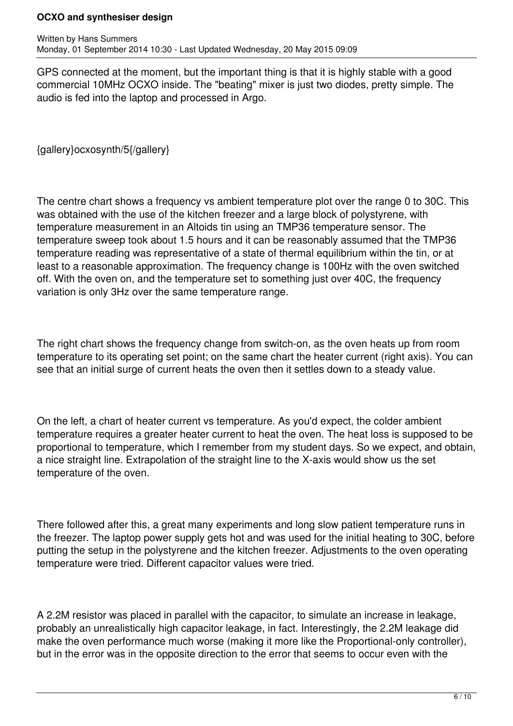#### **OCXO and synthesiser design**

GPS connected at the moment, but the important thing is that it is highly stable with a good commercial 10MHz OCXO inside. The "beating" mixer is just two diodes, pretty simple. The audio is fed into the laptop and processed in Argo.

{gallery}ocxosynth/5{/gallery}

The centre chart shows a frequency vs ambient temperature plot over the range 0 to 30C. This was obtained with the use of the kitchen freezer and a large block of polystyrene, with temperature measurement in an Altoids tin using an TMP36 temperature sensor. The temperature sweep took about 1.5 hours and it can be reasonably assumed that the TMP36 temperature reading was representative of a state of thermal equilibrium within the tin, or at least to a reasonable approximation. The frequency change is 100Hz with the oven switched off. With the oven on, and the temperature set to something just over 40C, the frequency variation is only 3Hz over the same temperature range.

The right chart shows the frequency change from switch-on, as the oven heats up from room temperature to its operating set point; on the same chart the heater current (right axis). You can see that an initial surge of current heats the oven then it settles down to a steady value.

On the left, a chart of heater current vs temperature. As you'd expect, the colder ambient temperature requires a greater heater current to heat the oven. The heat loss is supposed to be proportional to temperature, which I remember from my student days. So we expect, and obtain, a nice straight line. Extrapolation of the straight line to the X-axis would show us the set temperature of the oven.

There followed after this, a great many experiments and long slow patient temperature runs in the freezer. The laptop power supply gets hot and was used for the initial heating to 30C, before putting the setup in the polystyrene and the kitchen freezer. Adjustments to the oven operating temperature were tried. Different capacitor values were tried.

A 2.2M resistor was placed in parallel with the capacitor, to simulate an increase in leakage, probably an unrealistically high capacitor leakage, in fact. Interestingly, the 2.2M leakage did make the oven performance much worse (making it more like the Proportional-only controller), but in the error was in the opposite direction to the error that seems to occur even with the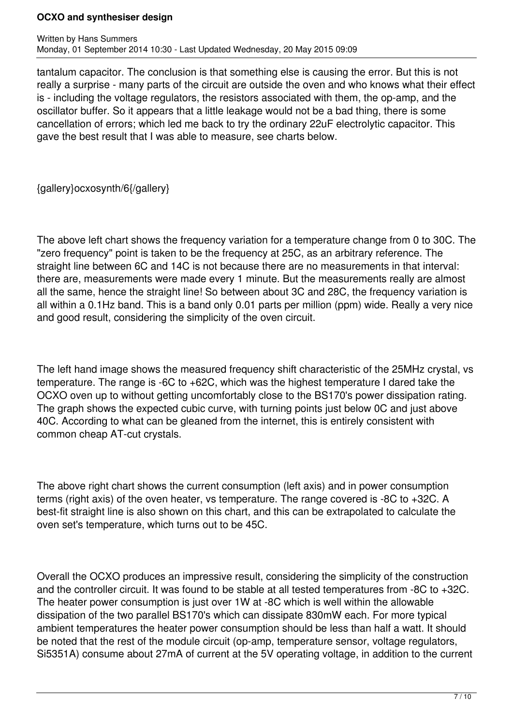#### **OCXO and synthesiser design**

tantalum capacitor. The conclusion is that something else is causing the error. But this is not really a surprise - many parts of the circuit are outside the oven and who knows what their effect is - including the voltage regulators, the resistors associated with them, the op-amp, and the oscillator buffer. So it appears that a little leakage would not be a bad thing, there is some cancellation of errors; which led me back to try the ordinary 22uF electrolytic capacitor. This gave the best result that I was able to measure, see charts below.

{gallery}ocxosynth/6{/gallery}

The above left chart shows the frequency variation for a temperature change from 0 to 30C. The "zero frequency" point is taken to be the frequency at 25C, as an arbitrary reference. The straight line between 6C and 14C is not because there are no measurements in that interval: there are, measurements were made every 1 minute. But the measurements really are almost all the same, hence the straight line! So between about 3C and 28C, the frequency variation is all within a 0.1Hz band. This is a band only 0.01 parts per million (ppm) wide. Really a very nice and good result, considering the simplicity of the oven circuit.

The left hand image shows the measured frequency shift characteristic of the 25MHz crystal, vs temperature. The range is -6C to +62C, which was the highest temperature I dared take the OCXO oven up to without getting uncomfortably close to the BS170's power dissipation rating. The graph shows the expected cubic curve, with turning points just below 0C and just above 40C. According to what can be gleaned from the internet, this is entirely consistent with common cheap AT-cut crystals.

The above right chart shows the current consumption (left axis) and in power consumption terms (right axis) of the oven heater, vs temperature. The range covered is -8C to +32C. A best-fit straight line is also shown on this chart, and this can be extrapolated to calculate the oven set's temperature, which turns out to be 45C.

Overall the OCXO produces an impressive result, considering the simplicity of the construction and the controller circuit. It was found to be stable at all tested temperatures from -8C to +32C. The heater power consumption is just over 1W at -8C which is well within the allowable dissipation of the two parallel BS170's which can dissipate 830mW each. For more typical ambient temperatures the heater power consumption should be less than half a watt. It should be noted that the rest of the module circuit (op-amp, temperature sensor, voltage regulators, Si5351A) consume about 27mA of current at the 5V operating voltage, in addition to the current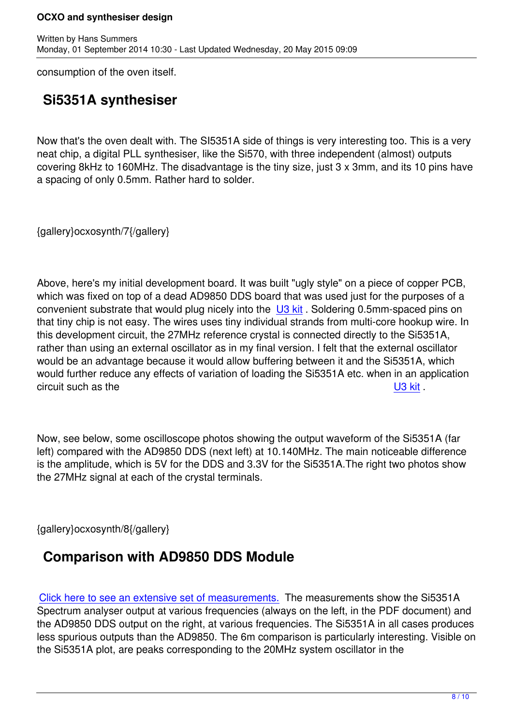consumption of the oven itself.

Written by Hans Summers Summers Summers Summers Summers Summers Summers Summers Summers Summers Summers Summer

## **Si5351A synthesiser**

Now that's the oven dealt with. The SI5351A side of things is very interesting too. This is a very neat chip, a digital PLL synthesiser, like the Si570, with three independent (almost) outputs covering 8kHz to 160MHz. The disadvantage is the tiny size, just 3 x 3mm, and its 10 pins have a spacing of only 0.5mm. Rather hard to solder.

{gallery}ocxosynth/7{/gallery}

Above, here's my initial development board. It was built "ugly style" on a piece of copper PCB, which was fixed on top of a dead AD9850 DDS board that was used just for the purposes of a convenient substrate that would plug nicely into the U3 kit. Soldering 0.5mm-spaced pins on that tiny chip is not easy. The wires uses tiny individual strands from multi-core hookup wire. In this development circuit, the 27MHz reference crystal is connected directly to the Si5351A, rather than using an external oscillator as in my final [versio](ultimate3)n. I felt that the external oscillator would be an advantage because it would allow buffering between it and the Si5351A, which would further reduce any effects of variation of loading the Si5351A etc. when in an application circuit such as the U3 kit .

Now, see below, some oscilloscope photos showing the output waveform of t[he Si53](ultimate3)51A (far left) compared with the AD9850 DDS (next left) at 10.140MHz. The main noticeable difference is the amplitude, which is 5V for the DDS and 3.3V for the Si5351A.The right two photos show the 27MHz signal at each of the crystal terminals.

{gallery}ocxosynth/8{/gallery}

## **Comparison with AD9850 DDS Module**

Click here to see an extensive set of measurements. The measurements show the Si5351A Spectrum analyser output at various frequencies (always on the left, in the PDF document) and the AD9850 DDS output on the right, at various frequencies. The Si5351A in all cases produces [less spurious outputs than the AD9850. The 6m comp](images/stories/ocxosynth/SI5351A.pdf)arison is particularly interesting. Visible on the Si5351A plot, are peaks corresponding to the 20MHz system oscillator in the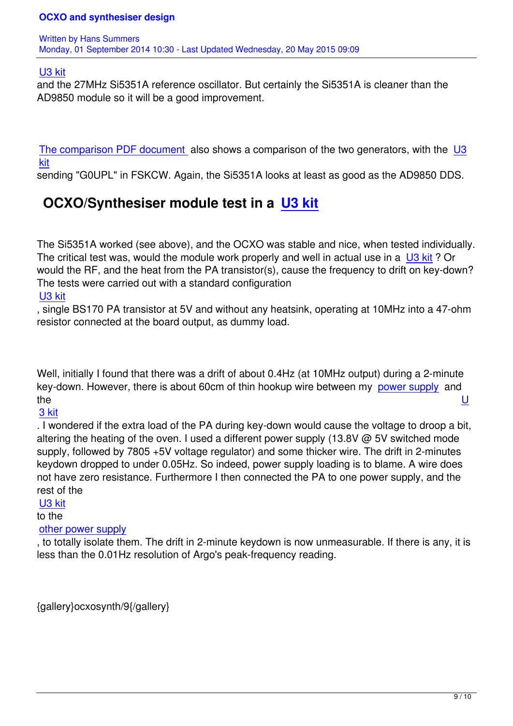#### U3 kit

and the 27MHz Si5351A reference oscillator. But certainly the Si5351A is cleaner than the AD9850 module so it will be a good improvement.

The comparison PDF document also shows a comparison of the two generators, with the U3 kit

sending "G0UPL" in FSKCW. Again, the Si5351A looks at least as good as the AD9850 DDS.

# **[O](ultimate3)[CXO/Synthesiser mo](images/stories/ocxosynth/SI5351A.pdf)dule test in a U3 kit**

The Si5351A worked (see above), and the OCXO wa[s stable a](ultimate3)nd nice, when tested individually. The critical test was, would the module work properly and well in actual use in a U3 kit? Or would the RF, and the heat from the PA transistor(s), cause the frequency to drift on key-down? The tests were carried out with a standard configuration

### U3 kit

, single BS170 PA transistor at 5V and without any heatsink, operating at 10MHz [into a](ultimate3) 47-ohm resistor connected at the board output, as dummy load.

Well, initially I found that there was a drift of about 0.4Hz (at 10MHz output) during a 2-minute key-down. However, there is about 60cm of thin hookup wire between my power supply and the the unit of the United States of the United States of the United States of the United States of the United

### 3 kit

. I wondered if the extra load of the PA during key-down would cause the v[oltage to droo](radiopsu)p a bit, altering the heating of the oven. I used a different power supply (13.8V  $\omega$  5V switched mode [supp](ultimate3)ly, followed by 7805 +5V voltage regulator) and some thicker wire. The drift in 2-minutes keydown dropped to under 0.05Hz. So indeed, power supply loading is to blame. A wire does not have zero resistance. Furthermore I then connected the PA to one power supply, and the rest of the

## U3 kit

### to the

other power supply

[, to tot](ultimate3)ally isolate them. The drift in 2-minute keydown is now unmeasurable. If there is any, it is less than the 0.01Hz resolution of Argo's peak-frequency reading.

{gallery}ocxosynth/9{/gallery}